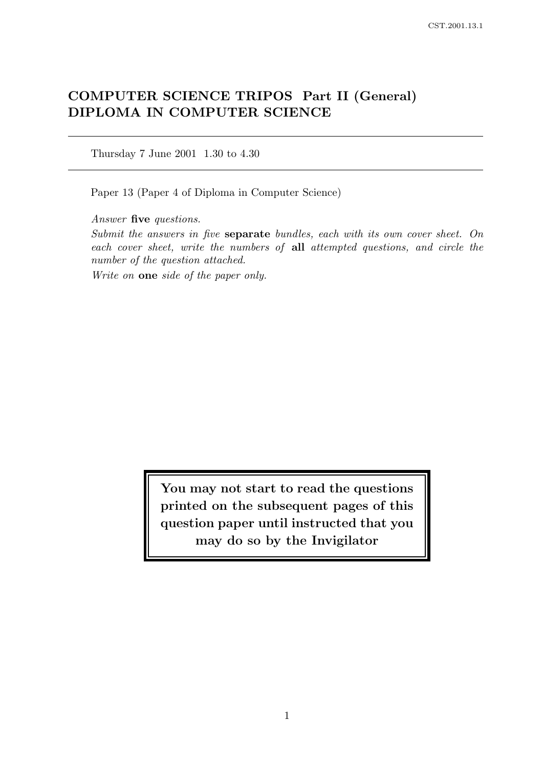# COMPUTER SCIENCE TRIPOS Part II (General) DIPLOMA IN COMPUTER SCIENCE

Thursday 7 June 2001 1.30 to 4.30

Paper 13 (Paper 4 of Diploma in Computer Science)

Answer five questions.

Submit the answers in five separate bundles, each with its own cover sheet. On each cover sheet, write the numbers of all attempted questions, and circle the number of the question attached.

Write on one side of the paper only.

You may not start to read the questions printed on the subsequent pages of this question paper until instructed that you may do so by the Invigilator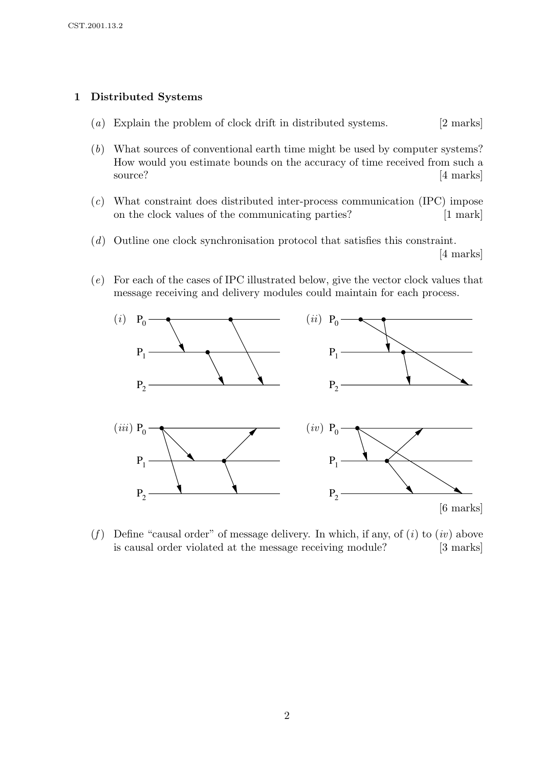# 1 Distributed Systems

- (a) Explain the problem of clock drift in distributed systems. [2 marks]
- (b) What sources of conventional earth time might be used by computer systems? How would you estimate bounds on the accuracy of time received from such a source? [4 marks]
- (c) What constraint does distributed inter-process communication (IPC) impose on the clock values of the communicating parties? [1 mark]
- (d) Outline one clock synchronisation protocol that satisfies this constraint. [4 marks]
- (e) For each of the cases of IPC illustrated below, give the vector clock values that message receiving and delivery modules could maintain for each process.



(f) Define "causal order" of message delivery. In which, if any, of  $(i)$  to  $(iv)$  above is causal order violated at the message receiving module? [3 marks]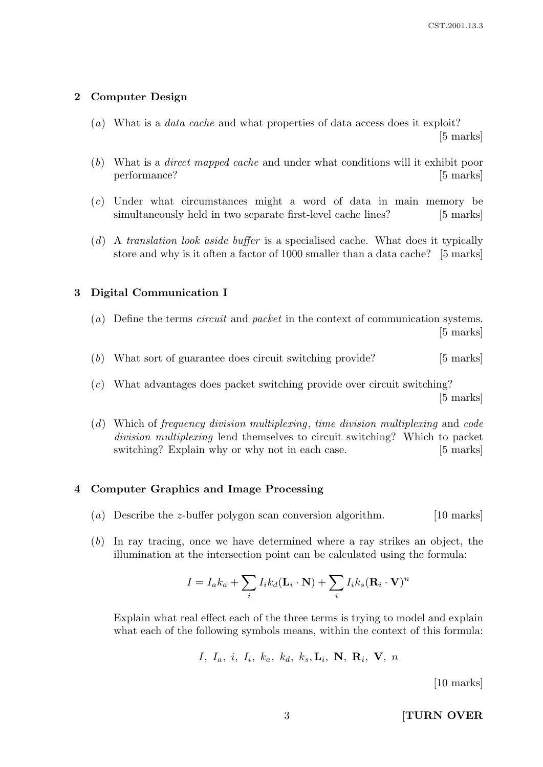### 2 Computer Design

- (a) What is a *data cache* and what properties of data access does it exploit? [5 marks]
- (b) What is a direct mapped cache and under what conditions will it exhibit poor performance? [5 marks]
- (c) Under what circumstances might a word of data in main memory be simultaneously held in two separate first-level cache lines? [5 marks]
- (d) A translation look aside buffer is a specialised cache. What does it typically store and why is it often a factor of 1000 smaller than a data cache? [5 marks]

### 3 Digital Communication I

- (a) Define the terms circuit and packet in the context of communication systems. [5 marks]
- (b) What sort of guarantee does circuit switching provide? [5 marks]
- (c) What advantages does packet switching provide over circuit switching? [5 marks]
- (d) Which of frequency division multiplexing, time division multiplexing and code division multiplexing lend themselves to circuit switching? Which to packet switching? Explain why or why not in each case. [5 marks]

#### 4 Computer Graphics and Image Processing

- (a) Describe the z-buffer polygon scan conversion algorithm. [10 marks]
- (b) In ray tracing, once we have determined where a ray strikes an object, the illumination at the intersection point can be calculated using the formula:

$$
I = I_a k_a + \sum_i I_i k_d (\mathbf{L}_i \cdot \mathbf{N}) + \sum_i I_i k_s (\mathbf{R}_i \cdot \mathbf{V})^n
$$

Explain what real effect each of the three terms is trying to model and explain what each of the following symbols means, within the context of this formula:

$$
I, I_a, i, I_i, k_a, k_d, k_s, L_i, N, R_i, V, n
$$

[10 marks]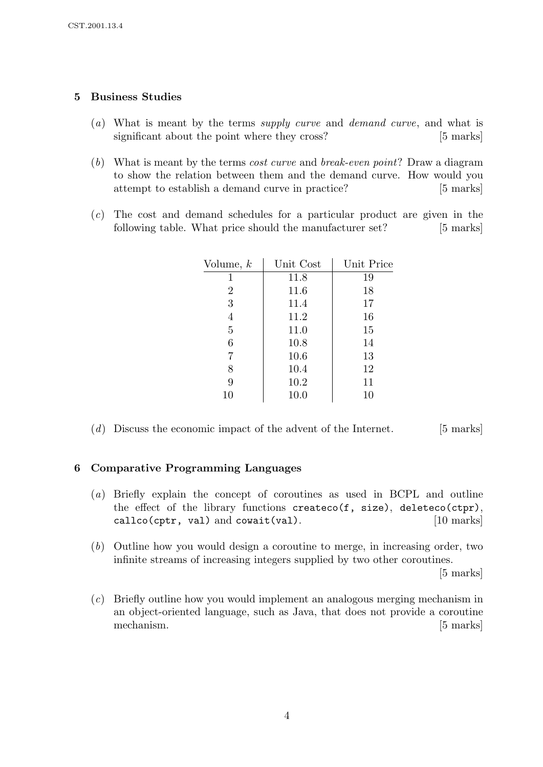# 5 Business Studies

- (a) What is meant by the terms supply curve and demand curve, and what is significant about the point where they cross? [5 marks]
- (b) What is meant by the terms cost curve and break-even point? Draw a diagram to show the relation between them and the demand curve. How would you attempt to establish a demand curve in practice? [5 marks]
- (c) The cost and demand schedules for a particular product are given in the following table. What price should the manufacturer set? [5 marks]

| Volume, $k$    | Unit Cost | Unit Price |
|----------------|-----------|------------|
|                | 11.8      | 19         |
| 2              | 11.6      | 18         |
| 3              | 11.4      | 17         |
| $\overline{4}$ | 11.2      | 16         |
| 5              | 11.0      | 15         |
| 6              | 10.8      | 14         |
| 7              | 10.6      | 13         |
| 8              | 10.4      | 12         |
| 9              | 10.2      | 11         |
| $10\,$         | 10.0      | 10         |

(d) Discuss the economic impact of the advent of the Internet. [5 marks]

## 6 Comparative Programming Languages

- (a) Briefly explain the concept of coroutines as used in BCPL and outline the effect of the library functions createco(f, size), deleteco(ctpr), callco(cptr, val) and cowait(val). [10 marks]
- (b) Outline how you would design a coroutine to merge, in increasing order, two infinite streams of increasing integers supplied by two other coroutines.

[5 marks]

(c) Briefly outline how you would implement an analogous merging mechanism in an object-oriented language, such as Java, that does not provide a coroutine mechanism. [5 marks]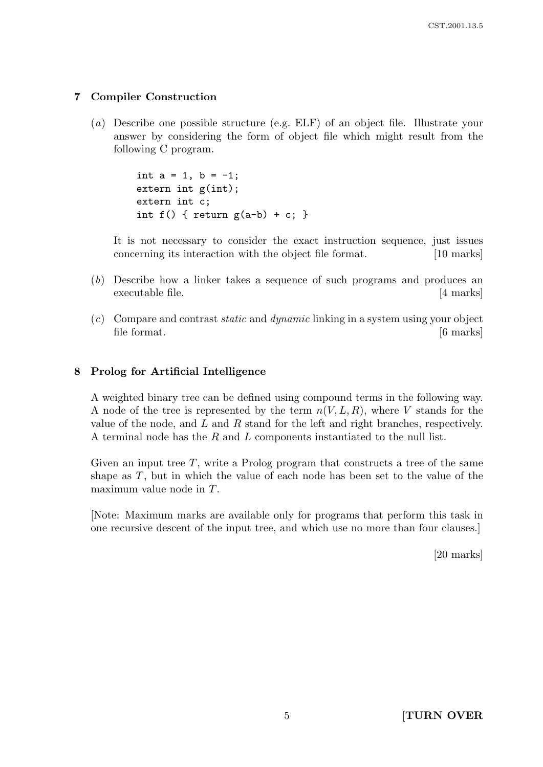### 7 Compiler Construction

(a) Describe one possible structure (e.g. ELF) of an object file. Illustrate your answer by considering the form of object file which might result from the following C program.

> int  $a = 1$ ,  $b = -1$ ; extern int g(int); extern int c; int f() { return  $g(a-b) + c$ ; }

It is not necessary to consider the exact instruction sequence, just issues concerning its interaction with the object file format. [10 marks]

- (b) Describe how a linker takes a sequence of such programs and produces an executable file. [4 marks]
- $(c)$  Compare and contrast *static* and *dynamic* linking in a system using your object file format.  $[6 \text{ marks}]$

#### 8 Prolog for Artificial Intelligence

A weighted binary tree can be defined using compound terms in the following way. A node of the tree is represented by the term  $n(V, L, R)$ , where V stands for the value of the node, and  $L$  and  $R$  stand for the left and right branches, respectively. A terminal node has the R and L components instantiated to the null list.

Given an input tree  $T$ , write a Prolog program that constructs a tree of the same shape as  $T$ , but in which the value of each node has been set to the value of the maximum value node in T.

[Note: Maximum marks are available only for programs that perform this task in one recursive descent of the input tree, and which use no more than four clauses.]

[20 marks]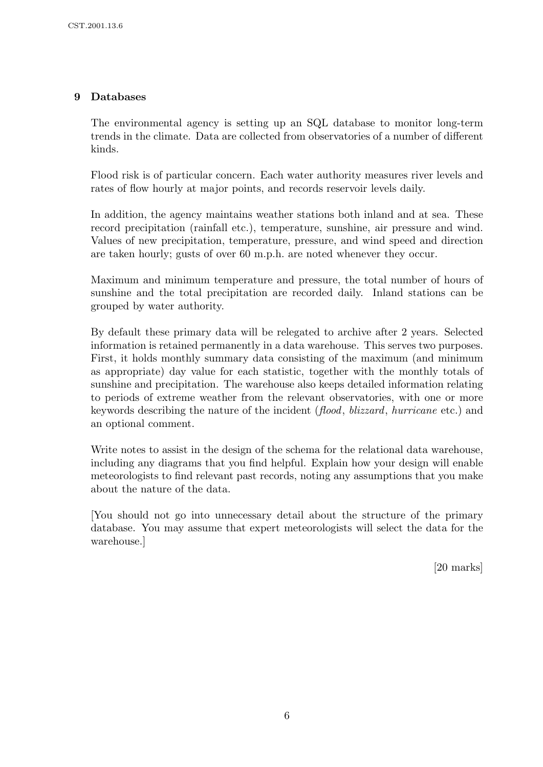# 9 Databases

The environmental agency is setting up an SQL database to monitor long-term trends in the climate. Data are collected from observatories of a number of different kinds.

Flood risk is of particular concern. Each water authority measures river levels and rates of flow hourly at major points, and records reservoir levels daily.

In addition, the agency maintains weather stations both inland and at sea. These record precipitation (rainfall etc.), temperature, sunshine, air pressure and wind. Values of new precipitation, temperature, pressure, and wind speed and direction are taken hourly; gusts of over 60 m.p.h. are noted whenever they occur.

Maximum and minimum temperature and pressure, the total number of hours of sunshine and the total precipitation are recorded daily. Inland stations can be grouped by water authority.

By default these primary data will be relegated to archive after 2 years. Selected information is retained permanently in a data warehouse. This serves two purposes. First, it holds monthly summary data consisting of the maximum (and minimum as appropriate) day value for each statistic, together with the monthly totals of sunshine and precipitation. The warehouse also keeps detailed information relating to periods of extreme weather from the relevant observatories, with one or more keywords describing the nature of the incident (flood, blizzard, hurricane etc.) and an optional comment.

Write notes to assist in the design of the schema for the relational data warehouse, including any diagrams that you find helpful. Explain how your design will enable meteorologists to find relevant past records, noting any assumptions that you make about the nature of the data.

[You should not go into unnecessary detail about the structure of the primary database. You may assume that expert meteorologists will select the data for the warehouse.]

[20 marks]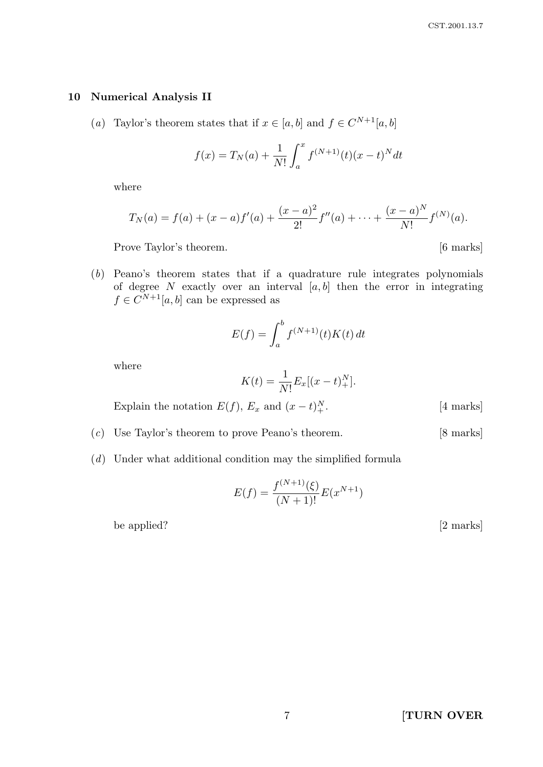#### 10 Numerical Analysis II

(a) Taylor's theorem states that if  $x \in [a, b]$  and  $f \in C^{N+1}[a, b]$ 

$$
f(x) = T_N(a) + \frac{1}{N!} \int_a^x f^{(N+1)}(t) (x - t)^N dt
$$

where

$$
T_N(a) = f(a) + (x - a)f'(a) + \frac{(x - a)^2}{2!}f''(a) + \dots + \frac{(x - a)^N}{N!}f^{(N)}(a).
$$

Prove Taylor's theorem. [6 marks]

(b) Peano's theorem states that if a quadrature rule integrates polynomials of degree N exactly over an interval  $[a, b]$  then the error in integrating  $f \in C^{N+1}[a, b]$  can be expressed as

$$
E(f) = \int_a^b f^{(N+1)}(t)K(t) dt
$$

where

$$
K(t) = \frac{1}{N!} E_x[(x - t)_+^N].
$$

Explain the notation  $E(f)$ ,  $E_x$  and  $(x-t)_+^N$ 

- (c) Use Taylor's theorem to prove Peano's theorem. [8 marks]
- (d) Under what additional condition may the simplified formula

$$
E(f) = \frac{f^{(N+1)}(\xi)}{(N+1)!} E(x^{N+1})
$$

be applied? [2 marks]

 $[4$  marks]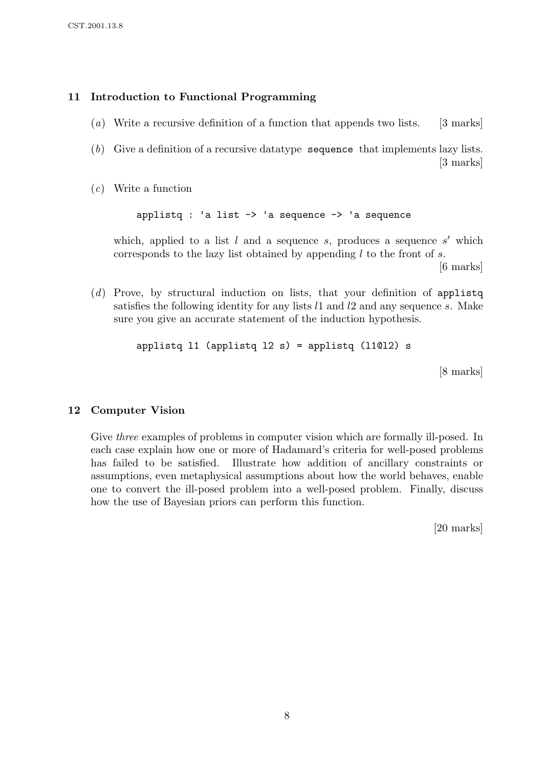#### 11 Introduction to Functional Programming

- (a) Write a recursive definition of a function that appends two lists. [3 marks]
- (b) Give a definition of a recursive datatype sequence that implements lazy lists. [3 marks]
- (c) Write a function

applistq : 'a list  $\rightarrow$  'a sequence  $\rightarrow$  'a sequence

which, applied to a list  $l$  and a sequence  $s$ , produces a sequence  $s'$  which corresponds to the lazy list obtained by appending  $l$  to the front of  $s$ .

[6 marks]

 $(d)$  Prove, by structural induction on lists, that your definition of applistq satisfies the following identity for any lists  $l1$  and  $l2$  and any sequence s. Make sure you give an accurate statement of the induction hypothesis.

applistq  $11$  (applistq  $12 s$ ) = applistq (11012) s

[8 marks]

#### 12 Computer Vision

Give *three* examples of problems in computer vision which are formally ill-posed. In each case explain how one or more of Hadamard's criteria for well-posed problems has failed to be satisfied. Illustrate how addition of ancillary constraints or assumptions, even metaphysical assumptions about how the world behaves, enable one to convert the ill-posed problem into a well-posed problem. Finally, discuss how the use of Bayesian priors can perform this function.

[20 marks]